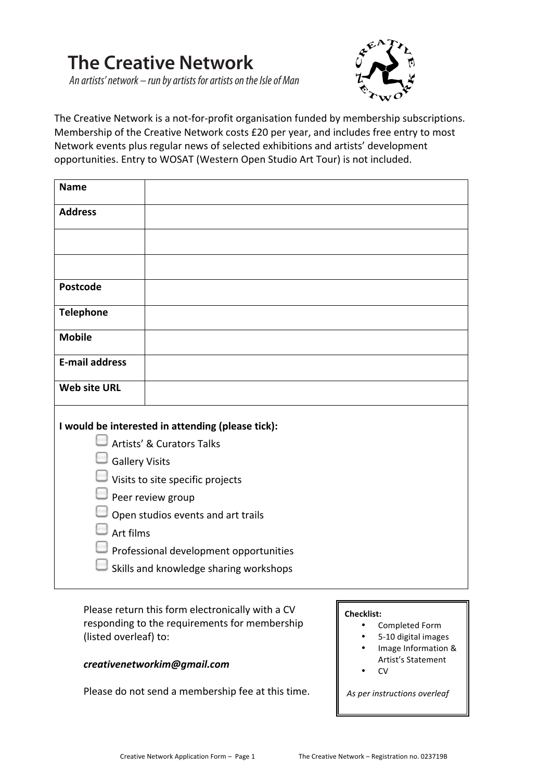# **The Creative Network**

An artists' network – run by artists for artists on the Isle of Man



The Creative Network is a not-for-profit organisation funded by membership subscriptions. Membership of the Creative Network costs £20 per year, and includes free entry to most Network events plus regular news of selected exhibitions and artists' development opportunities. Entry to WOSAT (Western Open Studio Art Tour) is not included.

| I would be interested in attending (please tick): |  |
|---------------------------------------------------|--|
|                                                   |  |
|                                                   |  |
| $\Box$ Visits to site specific projects           |  |
|                                                   |  |
| Open studios events and art trails                |  |
|                                                   |  |
| Professional development opportunities            |  |
| $\Box$ Skills and knowledge sharing workshops     |  |
|                                                   |  |

Please return this form electronically with a CV responding to the requirements for membership (listed overleaf) to:

# *creativenetworkim@gmail.com*

Please do not send a membership fee at this time.

## **Checklist:**

- Completed Form
- 5-10 digital images
- Image Information & Artist's Statement
- CV

As per instructions overleaf